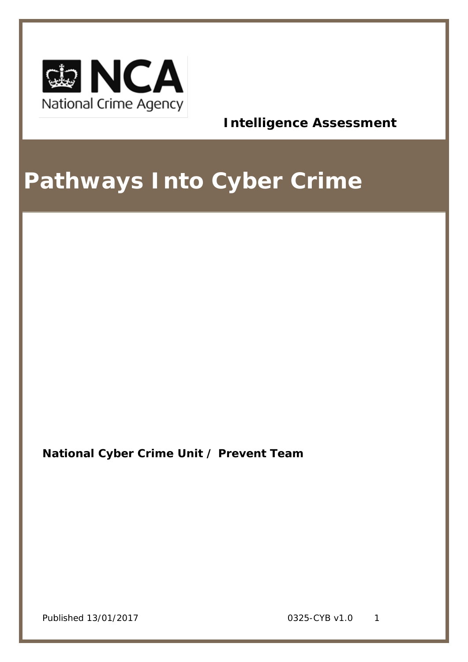

**Intelligence Assessment**

# **Pathways Into Cyber Crime**

**National Cyber Crime Unit / Prevent Team**

Published 13/01/2017 **0325-CYB** v1.0 1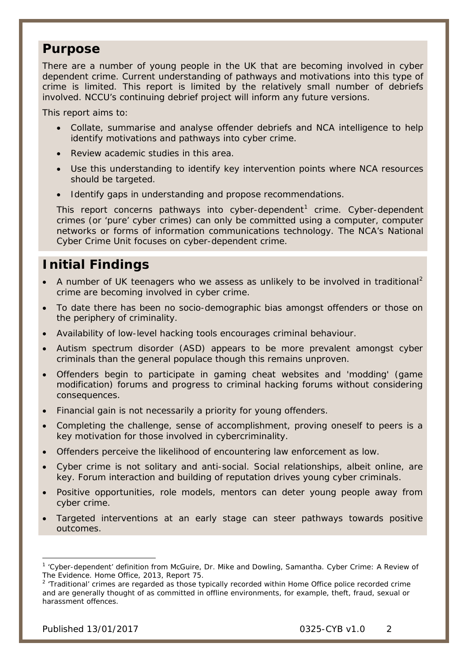### **Purpose**

There are a number of young people in the UK that are becoming involved in cyber dependent crime. Current understanding of pathways and motivations into this type of crime is limited. This report is limited by the relatively small number of debriefs involved. NCCU's continuing debrief project will inform any future versions.

This report aims to:

- Collate, summarise and analyse offender debriefs and NCA intelligence to help identify motivations and pathways into cyber crime.
- Review academic studies in this area.
- Use this understanding to identify key intervention points where NCA resources should be targeted.
- Identify gaps in understanding and propose recommendations.

This report concerns pathways into cyber-dependent<sup>[1](#page-1-0)</sup> crime. Cyber-dependent crimes (or 'pure' cyber crimes) can only be committed using a computer, computer networks or forms of information communications technology. The NCA's National Cyber Crime Unit focuses on cyber-dependent crime.

# **Initial Findings**

- A number of UK teenagers who we assess as unlikely to be involved in traditional<sup>[2](#page-1-1)</sup> crime are becoming involved in cyber crime.
- To date there has been no socio-demographic bias amongst offenders or those on the periphery of criminality.
- Availability of low-level hacking tools encourages criminal behaviour.
- Autism spectrum disorder (ASD) appears to be more prevalent amongst cyber criminals than the general populace though this remains unproven.
- Offenders begin to participate in gaming cheat websites and 'modding' (game modification) forums and progress to criminal hacking forums without considering consequences.
- Financial gain is not necessarily a priority for young offenders.
- Completing the challenge, sense of accomplishment, proving oneself to peers is a key motivation for those involved in cybercriminality.
- Offenders perceive the likelihood of encountering law enforcement as low.
- Cyber crime is not solitary and anti-social. Social relationships, albeit online, are key. Forum interaction and building of reputation drives young cyber criminals.
- Positive opportunities, role models, mentors can deter young people away from cyber crime.
- Targeted interventions at an early stage can steer pathways towards positive outcomes.

<span id="page-1-0"></span><sup>1</sup> 'Cyber-dependent' definition from McGuire, Dr. Mike and Dowling, Samantha. *Cyber Crime: A Review of The Evidence.* Home Office, 2013, Report 75. -

<span id="page-1-1"></span><sup>&</sup>lt;sup>2</sup> 'Traditional' crimes are regarded as those typically recorded within Home Office police recorded crime and are generally thought of as committed in offline environments, for example, theft, fraud, sexual or harassment offences.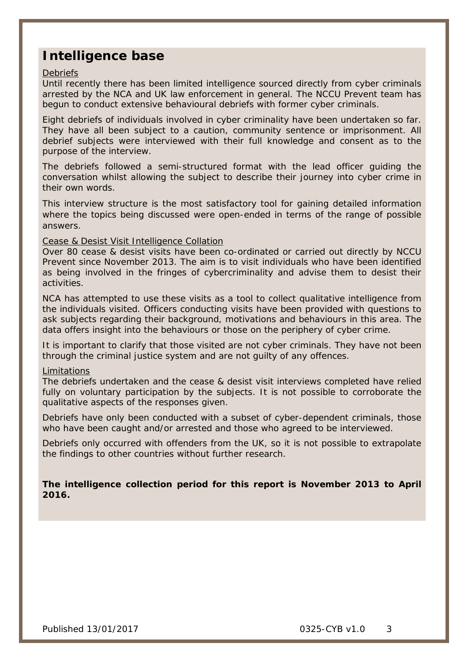### **Intelligence base**

#### **Debriefs**

Until recently there has been limited intelligence sourced directly from cyber criminals arrested by the NCA and UK law enforcement in general. The NCCU Prevent team has begun to conduct extensive behavioural debriefs with former cyber criminals.

Eight debriefs of individuals involved in cyber criminality have been undertaken so far. They have all been subject to a caution, community sentence or imprisonment. All debrief subjects were interviewed with their full knowledge and consent as to the purpose of the interview.

The debriefs followed a semi-structured format with the lead officer guiding the conversation whilst allowing the subject to describe their journey into cyber crime in their own words.

This interview structure is the most satisfactory tool for gaining detailed information where the topics being discussed were open-ended in terms of the range of possible answers.

#### Cease & Desist Visit Intelligence Collation

Over 80 cease & desist visits have been co-ordinated or carried out directly by NCCU Prevent since November 2013. The aim is to visit individuals who have been identified as being involved in the fringes of cybercriminality and advise them to desist their activities.

NCA has attempted to use these visits as a tool to collect qualitative intelligence from the individuals visited. Officers conducting visits have been provided with questions to ask subjects regarding their background, motivations and behaviours in this area. The data offers insight into the behaviours or those on the periphery of cyber crime.

It is important to clarify that those visited are not cyber criminals. They have not been through the criminal justice system and are not guilty of any offences.

#### Limitations

The debriefs undertaken and the cease & desist visit interviews completed have relied fully on voluntary participation by the subjects. It is not possible to corroborate the qualitative aspects of the responses given.

Debriefs have only been conducted with a subset of cyber-dependent criminals, those who have been caught and/or arrested and those who agreed to be interviewed.

Debriefs only occurred with offenders from the UK, so it is not possible to extrapolate the findings to other countries without further research.

**The intelligence collection period for this report is November 2013 to April 2016.**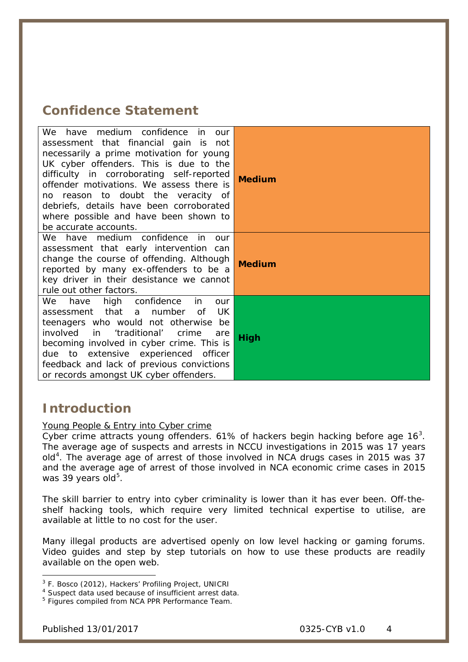### **Confidence Statement**

| We have medium confidence in<br>our<br>assessment that financial gain is not<br>necessarily a prime motivation for young<br>UK cyber offenders. This is due to the<br>difficulty in corroborating self-reported<br>offender motivations. We assess there is<br>no reason to doubt the veracity of<br>debriefs, details have been corroborated<br>where possible and have been shown to<br>be accurate accounts. | <b>Medium</b> |
|-----------------------------------------------------------------------------------------------------------------------------------------------------------------------------------------------------------------------------------------------------------------------------------------------------------------------------------------------------------------------------------------------------------------|---------------|
| We have medium confidence in<br>our<br>assessment that early intervention can<br>change the course of offending. Although<br>reported by many ex-offenders to be a<br>key driver in their desistance we cannot<br>rule out other factors.                                                                                                                                                                       | <b>Medium</b> |
| high confidence<br>We<br>have<br>in<br>our<br>number<br>UK<br>assessment that a<br>0f<br>teenagers who would not otherwise be<br>involved in 'traditional'<br>crime<br>are<br>becoming involved in cyber crime. This is<br>due to extensive experienced officer<br>feedback and lack of previous convictions<br>or records amongst UK cyber offenders.                                                          | High          |

### **Introduction**

### Young People & Entry into Cyber crime

Cyber crime attracts young offenders. 61% of hackers begin hacking before age  $16<sup>3</sup>$  $16<sup>3</sup>$  $16<sup>3</sup>$ . The average age of suspects and arrests in NCCU investigations in 2015 was 17 years old<sup>[4](#page-3-1)</sup>. The average age of arrest of those involved in NCA drugs cases in 2015 was 37 and the average age of arrest of those involved in NCA economic crime cases in 2015 was 39 years old<sup>[5](#page-3-2)</sup>.

The skill barrier to entry into cyber criminality is lower than it has ever been. Off-theshelf hacking tools, which require very limited technical expertise to utilise, are available at little to no cost for the user.

Many illegal products are advertised openly on low level hacking or gaming forums. Video guides and step by step tutorials on how to use these products are readily available on the open web.

<span id="page-3-0"></span> $3$  F. Bosco (2012), Hackers' Profiling Project, UNICRI  $4$  Suspect data used because of insufficient arrest data. -

<span id="page-3-1"></span>

<span id="page-3-2"></span><sup>&</sup>lt;sup>5</sup> Figures compiled from NCA PPR Performance Team.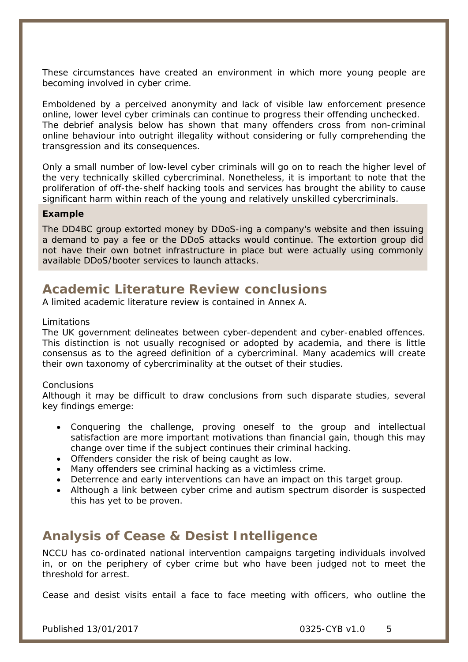These circumstances have created an environment in which more young people are becoming involved in cyber crime.

Emboldened by a perceived anonymity and lack of visible law enforcement presence online, lower level cyber criminals can continue to progress their offending unchecked. The debrief analysis below has shown that many offenders cross from non-criminal online behaviour into outright illegality without considering or fully comprehending the transgression and its consequences.

Only a small number of low-level cyber criminals will go on to reach the higher level of the very technically skilled cybercriminal. Nonetheless, it is important to note that the proliferation of off-the-shelf hacking tools and services has brought the ability to cause significant harm within reach of the young and relatively unskilled cybercriminals.

#### **Example**

The DD4BC group extorted money by DDoS-ing a company's website and then issuing a demand to pay a fee or the DDoS attacks would continue. The extortion group did not have their own botnet infrastructure in place but were actually using commonly available DDoS/booter services to launch attacks.

### **Academic Literature Review conclusions**

A limited academic literature review is contained in Annex A.

#### Limitations

The UK government delineates between cyber-dependent and cyber-enabled offences. This distinction is not usually recognised or adopted by academia, and there is little consensus as to the agreed definition of a cybercriminal. Many academics will create their own taxonomy of cybercriminality at the outset of their studies.

#### **Conclusions**

Although it may be difficult to draw conclusions from such disparate studies, several key findings emerge:

- Conquering the challenge, proving oneself to the group and intellectual satisfaction are more important motivations than financial gain, though this may change over time if the subject continues their criminal hacking.
- Offenders consider the risk of being caught as low.
- Many offenders see criminal hacking as a victimless crime.
- Deterrence and early interventions can have an impact on this target group.
- Although a link between cyber crime and autism spectrum disorder is suspected this has yet to be proven.

### **Analysis of Cease & Desist Intelligence**

NCCU has co-ordinated national intervention campaigns targeting individuals involved in, or on the periphery of cyber crime but who have been judged not to meet the threshold for arrest.

Cease and desist visits entail a face to face meeting with officers, who outline the

Published 13/01/2017 0325-CYB v1.0 5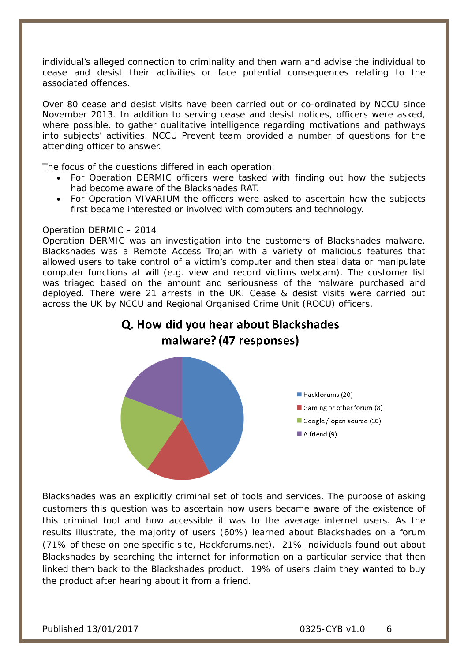individual's alleged connection to criminality and then warn and advise the individual to cease and desist their activities or face potential consequences relating to the associated offences.

Over 80 cease and desist visits have been carried out or co-ordinated by NCCU since November 2013. In addition to serving cease and desist notices, officers were asked, where possible, to gather qualitative intelligence regarding motivations and pathways into subjects' activities. NCCU Prevent team provided a number of questions for the attending officer to answer.

The focus of the questions differed in each operation:

- For Operation DERMIC officers were tasked with finding out how the subjects had become aware of the Blackshades RAT.
- For Operation VIVARIUM the officers were asked to ascertain how the subjects first became interested or involved with computers and technology.

### Operation DERMIC – 2014

Operation DERMIC was an investigation into the customers of Blackshades malware. Blackshades was a Remote Access Trojan with a variety of malicious features that allowed users to take control of a victim's computer and then steal data or manipulate computer functions at will (e.g. view and record victims webcam). The customer list was triaged based on the amount and seriousness of the malware purchased and deployed. There were 21 arrests in the UK. Cease & desist visits were carried out across the UK by NCCU and Regional Organised Crime Unit (ROCU) officers*.* 

### Q. How did you hear about Blackshades malware? (47 responses)



Blackshades was an explicitly criminal set of tools and services. The purpose of asking customers this question was to ascertain how users became aware of the existence of this criminal tool and how accessible it was to the average internet users. As the results illustrate, the majority of users (60%) learned about Blackshades on a forum (71% of these on one specific site, Hackforums.net). 21% individuals found out about Blackshades by searching the internet for information on a particular service that then linked them back to the Blackshades product. 19% of users claim they wanted to buy the product after hearing about it from a friend.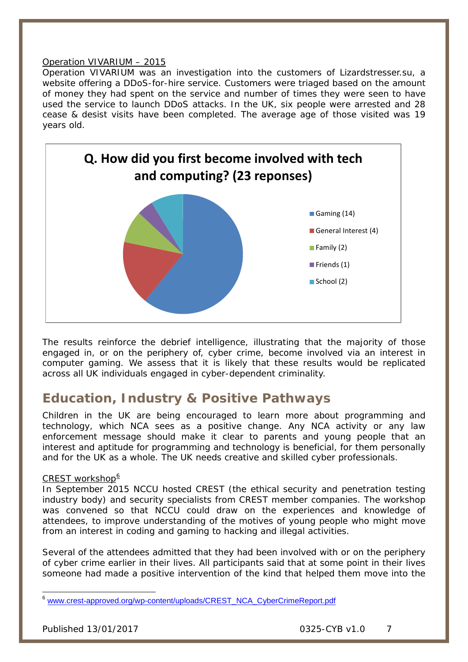### Operation VIVARIUM – 2015

Operation VIVARIUM was an investigation into the customers of Lizardstresser.su, a website offering a DDoS-for-hire service. Customers were triaged based on the amount of money they had spent on the service and number of times they were seen to have used the service to launch DDoS attacks. In the UK, six people were arrested and 28 cease & desist visits have been completed. The average age of those visited was 19 years old.



The results reinforce the debrief intelligence, illustrating that the majority of those engaged in, or on the periphery of, cyber crime, become involved via an interest in computer gaming. We assess that it is likely that these results would be replicated across all UK individuals engaged in cyber-dependent criminality.

### **Education, Industry & Positive Pathways**

Children in the UK are being encouraged to learn more about programming and technology, which NCA sees as a positive change. Any NCA activity or any law enforcement message should make it clear to parents and young people that an interest and aptitude for programming and technology is beneficial, for them personally and for the UK as a whole. The UK needs creative and skilled cyber professionals.

### CREST workshop $6$

In September 2015 NCCU hosted CREST (the ethical security and penetration testing industry body) and security specialists from CREST member companies. The workshop was convened so that NCCU could draw on the experiences and knowledge of attendees, to improve understanding of the motives of young people who might move from an interest in coding and gaming to hacking and illegal activities.

Several of the attendees admitted that they had been involved with or on the periphery of cyber crime earlier in their lives. All participants said that at some point in their lives someone had made a positive intervention of the kind that helped them move into the

<span id="page-6-0"></span>[www.crest-approved.org/wp-content/uploads/CREST\\_NCA\\_CyberCrimeReport.pdf](http://www.crest-approved.org/wp-content/uploads/CREST_NCA_CyberCrimeReport.pdf)  $\overline{a}$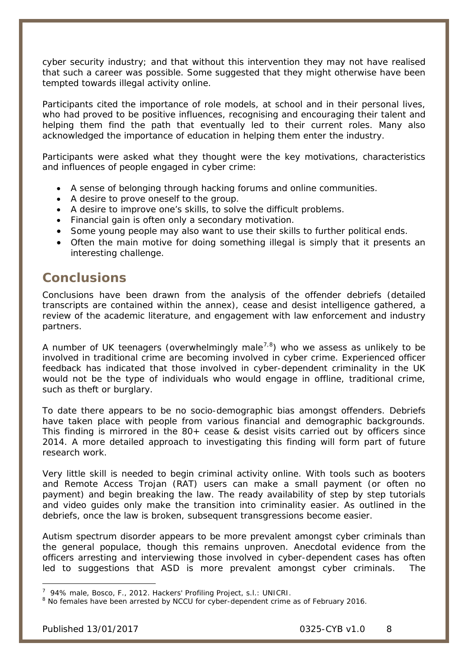cyber security industry; and that without this intervention they may not have realised that such a career was possible. Some suggested that they might otherwise have been tempted towards illegal activity online.

Participants cited the importance of role models, at school and in their personal lives, who had proved to be positive influences, recognising and encouraging their talent and helping them find the path that eventually led to their current roles. Many also acknowledged the importance of education in helping them enter the industry.

Participants were asked what they thought were the key motivations, characteristics and influences of people engaged in cyber crime:

- A sense of belonging through hacking forums and online communities.
- A desire to prove oneself to the group.
- A desire to improve one's skills, to solve the difficult problems.
- Financial gain is often only a secondary motivation.
- Some young people may also want to use their skills to further political ends.
- Often the main motive for doing something illegal is simply that it presents an interesting challenge.

### **Conclusions**

Conclusions have been drawn from the analysis of the offender debriefs (detailed transcripts are contained within the annex), cease and desist intelligence gathered, a review of the academic literature, and engagement with law enforcement and industry partners.

A number of UK teenagers (overwhelmingly male<sup>[7,](#page-7-0)[8](#page-7-1)</sup>) who we assess as unlikely to be involved in traditional crime are becoming involved in cyber crime. Experienced officer feedback has indicated that those involved in cyber-dependent criminality in the UK would not be the type of individuals who would engage in offline, traditional crime, such as theft or burglary.

To date there appears to be no socio-demographic bias amongst offenders. Debriefs have taken place with people from various financial and demographic backgrounds. This finding is mirrored in the 80+ cease & desist visits carried out by officers since 2014. A more detailed approach to investigating this finding will form part of future research work.

Very little skill is needed to begin criminal activity online. With tools such as booters and Remote Access Trojan (RAT) users can make a small payment (or often no payment) and begin breaking the law. The ready availability of step by step tutorials and video guides only make the transition into criminality easier. As outlined in the debriefs, once the law is broken, subsequent transgressions become easier.

Autism spectrum disorder appears to be more prevalent amongst cyber criminals than the general populace, though this remains unproven. Anecdotal evidence from the officers arresting and interviewing those involved in cyber-dependent cases has often led to suggestions that ASD is more prevalent amongst cyber criminals. The

<sup>7</sup> 94% male, Bosco, F., 2012. *Hackers' Profiling Project,* s.l.: UNICRI. -

<span id="page-7-1"></span><span id="page-7-0"></span><sup>&</sup>lt;sup>8</sup> No females have been arrested by NCCU for cyber-dependent crime as of February 2016.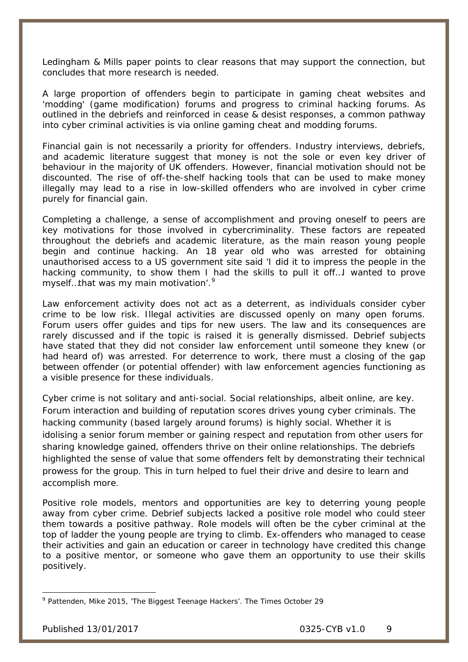Ledingham & Mills paper points to clear reasons that may support the connection, but concludes that more research is needed.

A large proportion of offenders begin to participate in gaming cheat websites and 'modding' (game modification) forums and progress to criminal hacking forums. As outlined in the debriefs and reinforced in cease & desist responses, a common pathway into cyber criminal activities is via online gaming cheat and modding forums.

Financial gain is not necessarily a priority for offenders. Industry interviews, debriefs, and academic literature suggest that money is not the sole or even key driver of behaviour in the majority of UK offenders. However, financial motivation should not be discounted. The rise of off-the-shelf hacking tools that can be used to make money illegally may lead to a rise in low-skilled offenders who are involved in cyber crime purely for financial gain*.* 

Completing a challenge, a sense of accomplishment and proving oneself to peers are key motivations for those involved in cybercriminality. These factors are repeated throughout the debriefs and academic literature, as the main reason young people begin and continue hacking. An 18 year old who was arrested for obtaining unauthorised access to a US government site said *'I did it to impress the people in the hacking community, to show them I had the skills to pull it off…I wanted to prove myself…that was my main motivation'.[9](#page-8-0)*

Law enforcement activity does not act as a deterrent, as individuals consider cyber crime to be low risk. Illegal activities are discussed openly on many open forums. Forum users offer guides and tips for new users. The law and its consequences are rarely discussed and if the topic is raised it is generally dismissed. Debrief subjects have stated that they did not consider law enforcement until someone they knew (or had heard of) was arrested. For deterrence to work, there must a closing of the gap between offender (or potential offender) with law enforcement agencies functioning as a visible presence for these individuals.

Cyber crime is not solitary and anti-social. Social relationships, albeit online, are key. Forum interaction and building of reputation scores drives young cyber criminals. The hacking community (based largely around forums) is highly social. Whether it is idolising a senior forum member or gaining respect and reputation from other users for sharing knowledge gained, offenders thrive on their online relationships. The debriefs highlighted the sense of value that some offenders felt by demonstrating their technical prowess for the group. This in turn helped to fuel their drive and desire to learn and accomplish more.

Positive role models, mentors and opportunities are key to deterring young people away from cyber crime. Debrief subjects lacked a positive role model who could steer them towards a positive pathway. Role models will often be the cyber criminal at the top of ladder the young people are trying to climb. Ex-offenders who managed to cease their activities and gain an education or career in technology have credited this change to a positive mentor, or someone who gave them an opportunity to use their skills positively.

-

<span id="page-8-0"></span><sup>9</sup> Pattenden, Mike 2015, 'The Biggest Teenage Hackers'. *The Times* October 29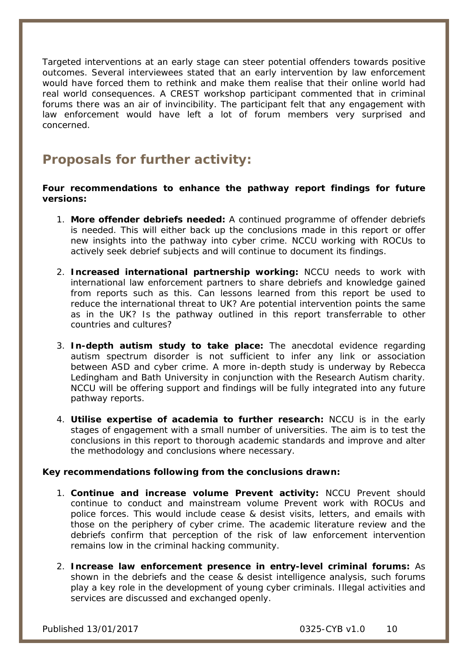Targeted interventions at an early stage can steer potential offenders towards positive outcomes. Several interviewees stated that an early intervention by law enforcement would have forced them to rethink and make them realise that their online world had real world consequences. A CREST workshop participant commented that in criminal forums there was an air of invincibility. The participant felt that any engagement with law enforcement would have left a lot of forum members very surprised and concerned.

### **Proposals for further activity:**

**Four recommendations to enhance the pathway report findings for future versions:**

- 1. **More offender debriefs needed:** A continued programme of offender debriefs is needed. This will either back up the conclusions made in this report or offer new insights into the pathway into cyber crime. NCCU working with ROCUs to actively seek debrief subjects and will continue to document its findings.
- 2. **Increased international partnership working:** NCCU needs to work with international law enforcement partners to share debriefs and knowledge gained from reports such as this. Can lessons learned from this report be used to reduce the international threat to UK? Are potential intervention points the same as in the UK? Is the pathway outlined in this report transferrable to other countries and cultures?
- 3. **In-depth autism study to take place:** The anecdotal evidence regarding autism spectrum disorder is not sufficient to infer any link or association between ASD and cyber crime. A more in-depth study is underway by Rebecca Ledingham and Bath University in conjunction with the Research Autism charity. NCCU will be offering support and findings will be fully integrated into any future pathway reports.
- 4. **Utilise expertise of academia to further research:** NCCU is in the early stages of engagement with a small number of universities. The aim is to test the conclusions in this report to thorough academic standards and improve and alter the methodology and conclusions where necessary.

### **Key recommendations following from the conclusions drawn:**

- 1. **Continue and increase volume Prevent activity:** NCCU Prevent should continue to conduct and mainstream volume Prevent work with ROCUs and police forces. This would include cease & desist visits, letters, and emails with those on the periphery of cyber crime. The academic literature review and the debriefs confirm that perception of the risk of law enforcement intervention remains low in the criminal hacking community.
- 2. **Increase law enforcement presence in entry-level criminal forums:** As shown in the debriefs and the cease & desist intelligence analysis, such forums play a key role in the development of young cyber criminals. Illegal activities and services are discussed and exchanged openly.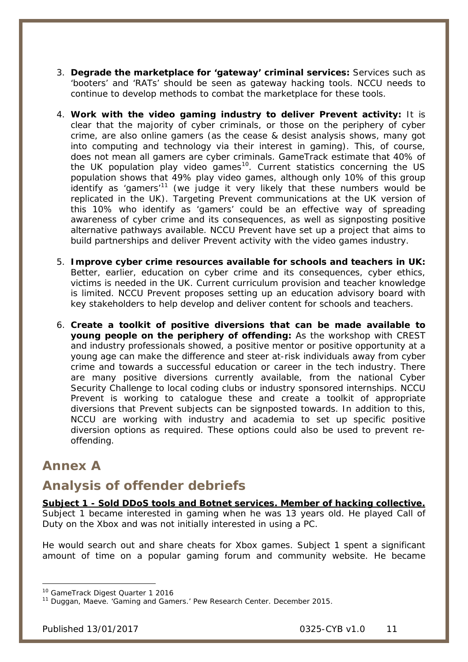- 3. **Degrade the marketplace for 'gateway' criminal services:** Services such as 'booters' and 'RATs' should be seen as gateway hacking tools. NCCU needs to continue to develop methods to combat the marketplace for these tools.
- 4. **Work with the video gaming industry to deliver Prevent activity:** It is clear that the majority of cyber criminals, or those on the periphery of cyber crime, are also online gamers (as the cease & desist analysis shows, many got into computing and technology via their interest in gaming). This, of course, does not mean all gamers are cyber criminals. GameTrack estimate that 40% of the UK population play video games<sup>10</sup>. Current statistics concerning the US population shows that 49% play video games, although only 10% of this group identify as 'gamers'<sup>[11](#page-10-1)</sup> (we judge it very likely that these numbers would be replicated in the UK). Targeting Prevent communications at the UK version of this 10% who identify as 'gamers' could be an effective way of spreading awareness of cyber crime and its consequences, as well as signposting positive alternative pathways available. NCCU Prevent have set up a project that aims to build partnerships and deliver Prevent activity with the video games industry.
- 5. **Improve cyber crime resources available for schools and teachers in UK:**  Better, earlier, education on cyber crime and its consequences, cyber ethics, victims is needed in the UK. Current curriculum provision and teacher knowledge is limited. NCCU Prevent proposes setting up an education advisory board with key stakeholders to help develop and deliver content for schools and teachers.
- 6. **Create a toolkit of positive diversions that can be made available to young people on the periphery of offending:** As the workshop with CREST and industry professionals showed, a positive mentor or positive opportunity at a young age can make the difference and steer at-risk individuals away from cyber crime and towards a successful education or career in the tech industry. There are many positive diversions currently available, from the national Cyber Security Challenge to local coding clubs or industry sponsored internships. NCCU Prevent is working to catalogue these and create a toolkit of appropriate diversions that Prevent subjects can be signposted towards. In addition to this, NCCU are working with industry and academia to set up specific positive diversion options as required. These options could also be used to prevent reoffending.

### **Annex A**

### **Analysis of offender debriefs**

**Subject 1 - Sold DDoS tools and Botnet services. Member of hacking collective.**  Subject 1 became interested in gaming when he was 13 years old. He played Call of Duty on the Xbox and was not initially interested in using a PC.

He would search out and share cheats for Xbox games. Subject 1 spent a significant amount of time on a popular gaming forum and community website. He became

<sup>&</sup>lt;sup>10</sup> GameTrack Digest Quarter 1 2016 -

<span id="page-10-1"></span><span id="page-10-0"></span><sup>&</sup>lt;sup>11</sup> Duggan, Maeve. 'Gaming and Gamers.' Pew Research Center. December 2015.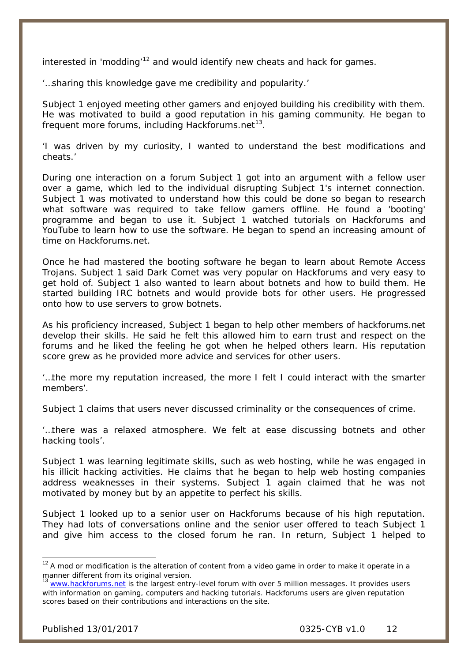interested in 'modding'<sup>[12](#page-11-0)</sup> and would identify new cheats and hack for games.

*'…sharing this knowledge gave me credibility and popularity.'*

Subject 1 enjoyed meeting other gamers and enjoyed building his credibility with them. He was motivated to build a good reputation in his gaming community. He began to frequent more forums, including Hackforums.net $^{13}$ .

*'I was driven by my curiosity, I wanted to understand the best modifications and cheats.*'

During one interaction on a forum Subject 1 got into an argument with a fellow user over a game, which led to the individual disrupting Subject 1's internet connection. Subject 1 was motivated to understand how this could be done so began to research what software was required to take fellow gamers offline. He found a 'booting' programme and began to use it. Subject 1 watched tutorials on Hackforums and YouTube to learn how to use the software. He began to spend an increasing amount of time on Hackforums.net.

Once he had mastered the booting software he began to learn about Remote Access Trojans. Subject 1 said Dark Comet was very popular on Hackforums and very easy to get hold of. Subject 1 also wanted to learn about botnets and how to build them. He started building IRC botnets and would provide bots for other users. He progressed onto how to use servers to grow botnets.

As his proficiency increased, Subject 1 began to help other members of hackforums.net develop their skills. He said he felt this allowed him to earn trust and respect on the forums and he liked the feeling he got when he helped others learn. His reputation score grew as he provided more advice and services for other users.

*'…the more my reputation increased, the more I felt I could interact with the smarter members'.*

Subject 1 claims that users never discussed criminality or the consequences of crime.

*'…there was a relaxed atmosphere. We felt at ease discussing botnets and other hacking tools'.* 

Subject 1 was learning legitimate skills, such as web hosting, while he was engaged in his illicit hacking activities. He claims that he began to help web hosting companies address weaknesses in their systems. Subject 1 again claimed that he was not motivated by money but by an appetite to perfect his skills.

Subject 1 looked up to a senior user on Hackforums because of his high reputation. They had lots of conversations online and the senior user offered to teach Subject 1 and give him access to the closed forum he ran. In return, Subject 1 helped to

 $\overline{a}$ 

<span id="page-11-0"></span> $12$  A mod or modification is the alteration of content from a video game in order to make it operate in a manner different from its original version.

<span id="page-11-1"></span>[www.hackforums.net](http://www.hackforums.net/) is the largest entry-level forum with over 5 million messages. It provides users with information on gaming, computers and hacking tutorials. Hackforums users are given reputation scores based on their contributions and interactions on the site.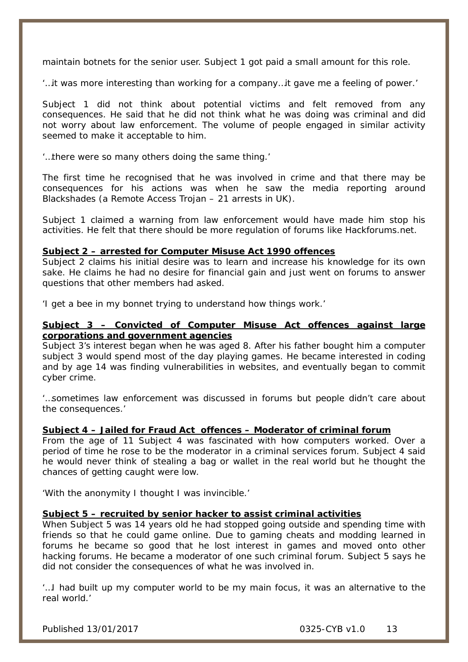maintain botnets for the senior user. Subject 1 got paid a small amount for this role.

'…*it was more interesting than working for a company…it gave me a feeling of power.'*

Subject 1 did not think about potential victims and felt removed from any consequences. He said that he did not think what he was doing was criminal and did not worry about law enforcement. The volume of people engaged in similar activity seemed to make it acceptable to him.

*'…there were so many others doing the same thing.'*

The first time he recognised that he was involved in crime and that there may be consequences for his actions was when he saw the media reporting around Blackshades (a Remote Access Trojan – 21 arrests in UK).

Subject 1 claimed a warning from law enforcement would have made him stop his activities. He felt that there should be more regulation of forums like Hackforums.net.

#### **Subject 2 – arrested for Computer Misuse Act 1990 offences**

Subject 2 claims his initial desire was to learn and increase his knowledge for its own sake. He claims he had no desire for financial gain and just went on forums to answer questions that other members had asked.

*'I get a bee in my bonnet trying to understand how things work.'* 

### **Subject 3 – Convicted of Computer Misuse Act offences against large corporations and government agencies**

Subject 3's interest began when he was aged 8. After his father bought him a computer subject 3 would spend most of the day playing games. He became interested in coding and by age 14 was finding vulnerabilities in websites, and eventually began to commit cyber crime.

*'…sometimes law enforcement was discussed in forums but people didn't care about the consequences.'*

### **Subject 4 – Jailed for Fraud Act offences – Moderator of criminal forum**

From the age of 11 Subject 4 was fascinated with how computers worked. Over a period of time he rose to be the moderator in a criminal services forum. Subject 4 said he would never think of stealing a bag or wallet in the real world but he thought the chances of getting caught were low.

*'With the anonymity I thought I was invincible.'*

### **Subject 5 – recruited by senior hacker to assist criminal activities**

When Subject 5 was 14 years old he had stopped going outside and spending time with friends so that he could game online. Due to gaming cheats and modding learned in forums he became so good that he lost interest in games and moved onto other hacking forums. He became a moderator of one such criminal forum. Subject 5 says he did not consider the consequences of what he was involved in.

*"...* I had built up my computer world to be my main focus, it was an alternative to the *real world.'*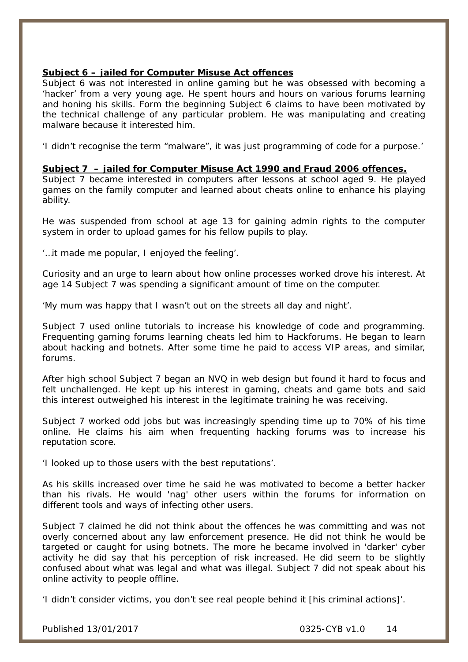### **Subject 6 – jailed for Computer Misuse Act offences**

Subject 6 was not interested in online gaming but he was obsessed with becoming a 'hacker' from a very young age. He spent hours and hours on various forums learning and honing his skills. Form the beginning Subject 6 claims to have been motivated by the technical challenge of any particular problem. He was manipulating and creating malware because it interested him.

*'I didn't recognise the term "malware", it was just programming of code for a purpose.'* 

### **Subject 7 – jailed for Computer Misuse Act 1990 and Fraud 2006 offences.**

Subject 7 became interested in computers after lessons at school aged 9. He played games on the family computer and learned about cheats online to enhance his playing ability.

He was suspended from school at age 13 for gaining admin rights to the computer system in order to upload games for his fellow pupils to play.

*'…it made me popular, I enjoyed the feeling'.*

Curiosity and an urge to learn about how online processes worked drove his interest. At age 14 Subject 7 was spending a significant amount of time on the computer.

*'My mum was happy that I wasn't out on the streets all day and night'.* 

Subject 7 used online tutorials to increase his knowledge of code and programming. Frequenting gaming forums learning cheats led him to Hackforums. He began to learn about hacking and botnets. After some time he paid to access VIP areas, and similar, forums.

After high school Subject 7 began an NVQ in web design but found it hard to focus and felt unchallenged. He kept up his interest in gaming, cheats and game bots and said this interest outweighed his interest in the legitimate training he was receiving.

Subject 7 worked odd jobs but was increasingly spending time up to 70% of his time online. He claims his aim when frequenting hacking forums was to increase his reputation score.

*'I looked up to those users with the best reputations'.*

As his skills increased over time he said he was motivated to become a better hacker than his rivals. He would 'nag' other users within the forums for information on different tools and ways of infecting other users.

Subject 7 claimed he did not think about the offences he was committing and was not overly concerned about any law enforcement presence. He did not think he would be targeted or caught for using botnets. The more he became involved in 'darker' cyber activity he did say that his perception of risk increased. He did seem to be slightly confused about what was legal and what was illegal. Subject 7 did not speak about his online activity to people offline.

*'I didn't consider victims, you don't see real people behind it [his criminal actions]'.*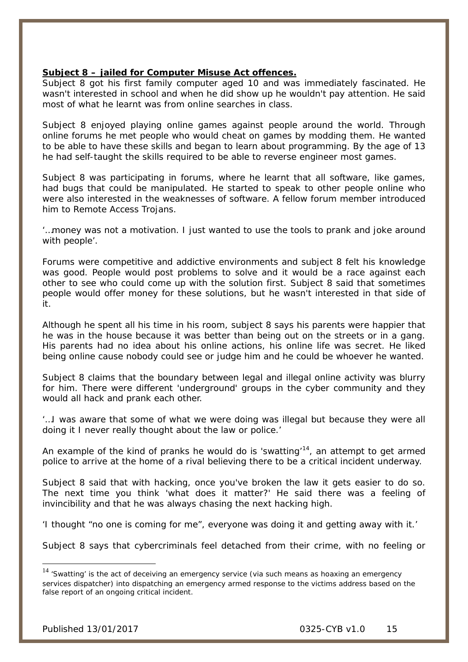### **Subject 8 – jailed for Computer Misuse Act offences.**

Subject 8 got his first family computer aged 10 and was immediately fascinated. He wasn't interested in school and when he did show up he wouldn't pay attention. He said most of what he learnt was from online searches in class.

Subject 8 enjoyed playing online games against people around the world. Through online forums he met people who would cheat on games by modding them. He wanted to be able to have these skills and began to learn about programming. By the age of 13 he had self-taught the skills required to be able to reverse engineer most games.

Subject 8 was participating in forums, where he learnt that all software, like games, had bugs that could be manipulated. He started to speak to other people online who were also interested in the weaknesses of software. A fellow forum member introduced him to Remote Access Trojans.

*'…money was not a motivation. I just wanted to use the tools to prank and joke around with people'.*

Forums were competitive and addictive environments and subject 8 felt his knowledge was good. People would post problems to solve and it would be a race against each other to see who could come up with the solution first. Subject 8 said that sometimes people would offer money for these solutions, but he wasn't interested in that side of it.

Although he spent all his time in his room, subject 8 says his parents were happier that he was in the house because it was better than being out on the streets or in a gang. His parents had no idea about his online actions, his online life was secret. He liked being online cause nobody could see or judge him and he could be whoever he wanted.

Subject 8 claims that the boundary between legal and illegal online activity was blurry for him. There were different 'underground' groups in the cyber community and they would all hack and prank each other.

*'…I was aware that some of what we were doing was illegal but because they were all doing it I never really thought about the law or police.'*

An example of the kind of pranks he would do is 'swatting'<sup>14</sup>, an attempt to get armed police to arrive at the home of a rival believing there to be a critical incident underway.

Subject 8 said that with hacking, once you've broken the law it gets easier to do so. The next time you think 'what does it matter?' He said there was a feeling of invincibility and that he was always chasing the next hacking high.

*'I thought "no one is coming for me", everyone was doing it and getting away with it.'* 

Subject 8 says that cybercriminals feel detached from their crime, with no feeling or

 $\overline{a}$ 

<span id="page-14-0"></span> $14$  'Swatting' is the act of deceiving an emergency service (via such means as hoaxing an emergency services dispatcher) into dispatching an emergency armed response to the victims address based on the false report of an ongoing critical incident.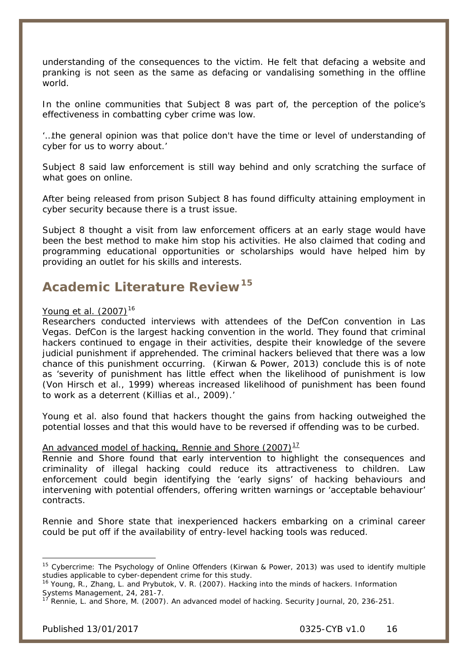understanding of the consequences to the victim. He felt that defacing a website and pranking is not seen as the same as defacing or vandalising something in the offline world.

In the online communities that Subject 8 was part of, the perception of the police's effectiveness in combatting cyber crime was low.

*'…the general opinion was that police don't have the time or level of understanding of cyber for us to worry about.'*

Subject 8 said law enforcement is still way behind and only scratching the surface of what goes on online.

After being released from prison Subject 8 has found difficulty attaining employment in cyber security because there is a trust issue.

Subject 8 thought a visit from law enforcement officers at an early stage would have been the best method to make him stop his activities. He also claimed that coding and programming educational opportunities or scholarships would have helped him by providing an outlet for his skills and interests.

# **Academic Literature Review[15](#page-15-0)**

### Young *et al.* (2007)<sup>[16](#page-15-1)</sup>

Researchers conducted interviews with attendees of the DefCon convention in Las Vegas. DefCon is the largest hacking convention in the world. They found that criminal hackers continued to engage in their activities, despite their knowledge of the severe judicial punishment if apprehended. The criminal hackers believed that there was a low chance of this punishment occurring. (Kirwan & Power, 2013) conclude this is of note as *'severity of punishment has little effect when the likelihood of punishment is low (Von Hirsch et al., 1999) whereas increased likelihood of punishment has been found to work as a deterrent (Killias et al., 2009).'*

Young *et al.* also found that hackers thought the gains from hacking outweighed the potential losses and that this would have to be reversed if offending was to be curbed.

### An advanced model of hacking, Rennie and Shore  $(2007)$ <sup>[17](#page-15-2)</sup>

Rennie and Shore found that early intervention to highlight the consequences and criminality of illegal hacking could reduce its attractiveness to children. Law enforcement could begin identifying the 'early signs' of hacking behaviours and intervening with potential offenders, offering written warnings or 'acceptable behaviour' contracts.

Rennie and Shore state that inexperienced hackers embarking on a criminal career could be put off if the availability of entry-level hacking tools was reduced.

-

<span id="page-15-0"></span><sup>&</sup>lt;sup>15</sup> Cybercrime: The Psychology of Online Offenders (Kirwan & Power, 2013) was used to identify multiple studies applicable to cyber-dependent crime for this study.

<span id="page-15-1"></span><sup>16</sup> Young, R., Zhang, L. and Prybutok, V. R. (2007). Hacking into the minds of hackers. *Information Systems Management,* 24, 281-7.

<span id="page-15-2"></span><sup>17</sup> Rennie, L. and Shore, M. (2007). An advanced model of hacking. *Security Journal,* 20, 236-251.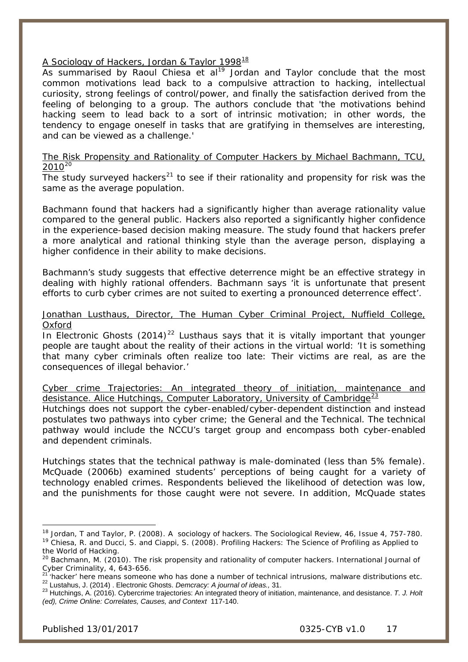### A Sociology of Hackers, Jordan & Taylor 1998<sup>[18](#page-16-0)</sup>

As summarised by Raoul Chiesa et al<sup>[19](#page-16-1)</sup> Jordan and Taylor conclude that the most common motivations lead back to a compulsive attraction to hacking, intellectual curiosity, strong feelings of control/power, and finally the satisfaction derived from the feeling of belonging to a group. The authors conclude that *'the motivations behind hacking seem to lead back to a sort of intrinsic motivation; in other words, the tendency to engage oneself in tasks that are gratifying in themselves are interesting, and can be viewed as a challenge.'*

### The Risk Propensity and Rationality of Computer Hackers by Michael Bachmann, TCU,  $2010^{20}$  $2010^{20}$

The study surveyed hackers<sup>[21](#page-16-3)</sup> to see if their rationality and propensity for risk was the same as the average population.

Bachmann found that hackers had a significantly higher than average rationality value compared to the general public. Hackers also reported a significantly higher confidence in the experience-based decision making measure. The study found that hackers prefer a more analytical and rational thinking style than the average person, displaying a higher confidence in their ability to make decisions.

Bachmann's study suggests that effective deterrence might be an effective strategy in dealing with highly rational offenders. Bachmann says *'it is unfortunate that present efforts to curb cyber crimes are not suited to exerting a pronounced deterrence effect'.*

#### Jonathan Lusthaus, Director, The Human Cyber Criminal Project, Nuffield College, Oxford

In Electronic Ghosts  $(2014)^{22}$  $(2014)^{22}$  $(2014)^{22}$  Lusthaus says that it is vitally important that younger people are taught about the reality of their actions in the virtual world: '*It is something that many cyber criminals often realize too late: Their victims are real, as are the consequences of illegal behavior.'*

Cyber crime Trajectories: An integrated theory of initiation, maintenance and desistance. Alice Hutchings, Computer Laboratory, University of Cambridge $\frac{23}{2}$  $\frac{23}{2}$  $\frac{23}{2}$ Hutchings does not support the cyber-enabled/cyber-dependent distinction and instead postulates two pathways into cyber crime; the General and the Technical. The technical pathway would include the NCCU's target group and encompass both cyber-enabled and dependent criminals.

Hutchings states that the technical pathway is male-dominated (less than 5% female). McQuade (2006b) examined students' perceptions of being caught for a variety of technology enabled crimes. Respondents believed the likelihood of detection was low, and the punishments for those caught were not severe. In addition, McQuade states

-

<span id="page-16-1"></span><span id="page-16-0"></span><sup>18</sup> Jordan, T and Taylor, P. (2008). A sociology of hackers. *The Sociological Review*, 46, Issue 4, 757-780. <sup>19</sup> Chiesa, R. and Ducci, S. and Ciappi, S. (2008). Profiling Hackers: The Science of Profiling as Applied to the World of Hacking.

<span id="page-16-2"></span><sup>&</sup>lt;sup>20</sup> Bachmann, M. (2010). The risk propensity and rationality of computer hackers. *International Journal of Cyber Criminality*, 4, 643-656.<br><sup>21</sup> theolect has a control of the control of the control of the control of the

<span id="page-16-4"></span><span id="page-16-3"></span><sup>&</sup>lt;sup>21</sup> 'hacker' here means someone who has done a number of technical intrusions, malware distributions etc.<br><sup>22</sup> Lustahus, J. (2014) . Electronic Ghosts. *Demcracy: A journal of ideas.*, 31.<br><sup>23</sup> Hutchings, A. (2016). Cybe

<span id="page-16-5"></span>*<sup>(</sup>ed), Crime Online: Correlates, Causes, and Context* 117-140.